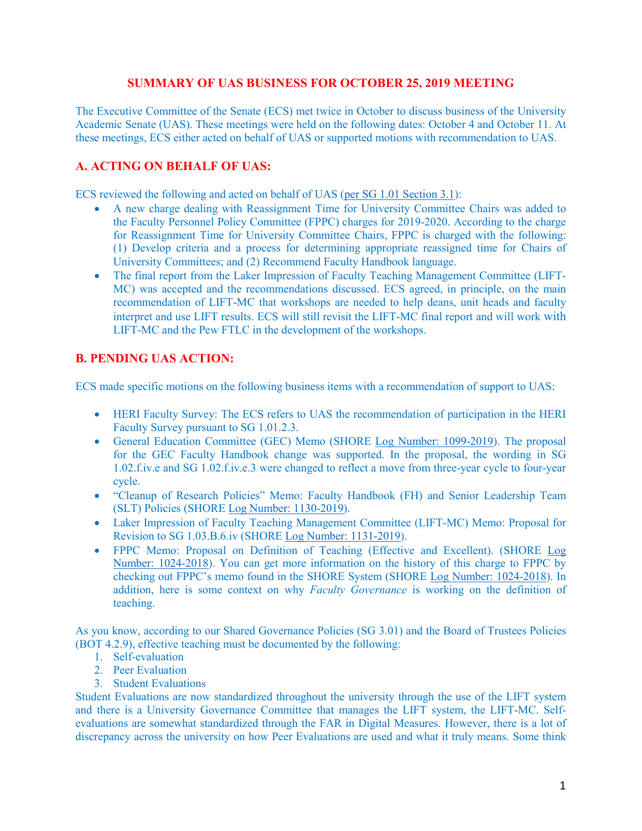## **SUMMARY OF UAS BUSINESS FOR OCTOBER 25, 2019 MEETING**

The Executive Committee of the Senate (ECS) met twice in October to discuss business of the University Academic Senate (UAS). These meetings were held on the following dates: October 4 and October 11. At these meetings, ECS either acted on behalf of UAS or supported motions with recommendation to UAS.

## **A. ACTING ON BEHALF OF UAS:**

ECS reviewed the following and acted on behalf of UAS [\(per SG 1.01 Section 3.1\)](https://www.gvsu.edu/policies/policy.htm?policyId=3BE4D7D6-F74C-23A7-311B867FBDBE4500&search=acting+on+behalf+of+UAS):

- A new charge dealing with Reassignment Time for University Committee Chairs was added to the Faculty Personnel Policy Committee (FPPC) charges for 2019-2020. According to the charge for Reassignment Time for University Committee Chairs, FPPC is charged with the following: (1) Develop criteria and a process for determining appropriate reassigned time for Chairs of University Committees; and (2) Recommend Faculty Handbook language.
- The final report from the Laker Impression of Faculty Teaching Management Committee (LIFT-MC) was accepted and the recommendations discussed. ECS agreed, in principle, on the main recommendation of LIFT-MC that workshops are needed to help deans, unit heads and faculty interpret and use LIFT results. ECS will still revisit the LIFT-MC final report and will work with LIFT-MC and the Pew FTLC in the development of the workshops.

## **B. PENDING UAS ACTION:**

ECS made specific motions on the following business items with a recommendation of support to UAS:

- HERI Faculty Survey: The ECS refers to UAS the recommendation of participation in the HERI Faculty Survey pursuant to SG 1.01.2.3.
- General Education Committee (GEC) Memo (SHORE [Log Number:](https://intranet.gvsu.edu/shore/charge-view.htm?chargeId=79EC7247-E5A9-1E90-2D17B892384AB01B) 1099-2019). The proposal for the GEC Faculty Handbook change was supported. In the proposal, the wording in SG 1.02.f.iv.e and SG 1.02.f.iv.e.3 were changed to reflect a move from three-year cycle to four-year cycle.
- "Cleanup of Research Policies" Memo: Faculty Handbook (FH) and Senior Leadership Team (SLT) Policies (SHOR[E Log Number: 1130-2019\)](https://intranet.gvsu.edu/shore/charge-view.htm?chargeId=1EE1BC6D-0236-F4FB-3685D61A183846C3).
- Laker Impression of Faculty Teaching Management Committee (LIFT-MC) Memo: Proposal for Revision to SG 1.03.B.6.iv (SHORE [Log Number: 1131-2019\)](https://intranet.gvsu.edu/shore/charge-view.htm?chargeId=1F2BE245-9A00-1427-D7E444948FD1A40D).
- FPPC Memo: Proposal on Definition of Teaching (Effective and Excellent). (SHORE [Log](https://intranet.gvsu.edu/shore/charge-view.htm?chargeId=C2DF08E8-95F9-AC02-AF66AA5280F2D438)  [Number: 1024-2018\)](https://intranet.gvsu.edu/shore/charge-view.htm?chargeId=C2DF08E8-95F9-AC02-AF66AA5280F2D438). You can get more information on the history of this charge to FPPC by checking out FPPC's memo found in the SHORE System (SHORE [Log Number: 1024-2018\)](https://intranet.gvsu.edu/shore/charge-view.htm?chargeId=C2DF08E8-95F9-AC02-AF66AA5280F2D438). In addition, here is some context on why *Faculty Governance* is working on the definition of teaching.

As you know, according to our Shared Governance Policies (SG 3.01) and the Board of Trustees Policies (BOT 4.2.9), effective teaching must be documented by the following:

- 1. Self-evaluation
- 2. Peer Evaluation
- 3. Student Evaluations

Student Evaluations are now standardized throughout the university through the use of the LIFT system and there is a University Governance Committee that manages the LIFT system, the LIFT-MC. Selfevaluations are somewhat standardized through the FAR in Digital Measures. However, there is a lot of discrepancy across the university on how Peer Evaluations are used and what it truly means. Some think